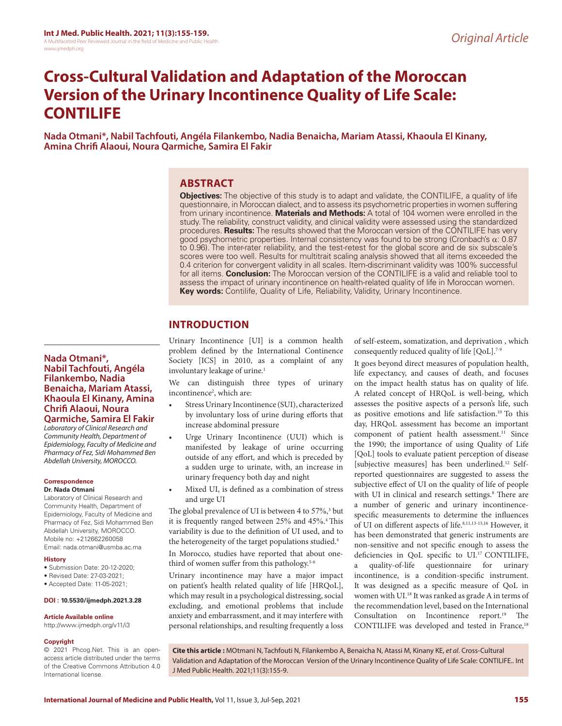# **Cross-Cultural Validation and Adaptation of the Moroccan Version of the Urinary Incontinence Quality of Life Scale: CONTILIFE**

**Nada Otmani\*, Nabil Tachfouti, Angéla Filankembo, Nadia Benaicha, Mariam Atassi, Khaoula El Kinany, Amina Chrifi Alaoui, Noura Qarmiche, Samira El Fakir**

# **ABSTRACT**

**Objectives:** The objective of this study is to adapt and validate, the CONTILIFE, a quality of life questionnaire, in Moroccan dialect, and to assess its psychometric properties in women suffering from urinary incontinence. **Materials and Methods:** A total of 104 women were enrolled in the study. The reliability, construct validity, and clinical validity were assessed using the standardized procedures. **Results:** The results showed that the Moroccan version of the CONTILIFE has very good psychometric properties. Internal consistency was found to be strong (Cronbach's α: 0.87 to 0.96). The inter-rater reliability, and the test-retest for the global score and de six subscale's scores were too well. Results for multitrait scaling analysis showed that all items exceeded the 0.4 criterion for convergent validity in all scales. Item-discriminant validity was 100% successful for all items. **Conclusion:** The Moroccan version of the CONTILIFE is a valid and reliable tool to assess the impact of urinary incontinence on health-related quality of life in Moroccan women. **Key words:** Contilife, Quality of Life, Reliability, Validity, Urinary Incontinence.

# **INTRODUCTION**

Urinary Incontinence [UI] is a common health problem defined by the International Continence Society [ICS] in 2010, as a complaint of any involuntary leakage of urine.<sup>1</sup>

We can distinguish three types of urinary incontinence<sup>2</sup>, which are:

- Stress Urinary Incontinence (SUI), characterized by involuntary loss of urine during efforts that increase abdominal pressure
- Urge Urinary Incontinence (UUI) which is manifested by leakage of urine occurring outside of any effort, and which is preceded by a sudden urge to urinate, with, an increase in urinary frequency both day and night
- Mixed UI, is defined as a combination of stress and urge UI

The global prevalence of UI is between 4 to 57%,<sup>3</sup> but it is frequently ranged between 25% and 45%.<sup>4</sup> This variability is due to the definition of UI used, and to the heterogeneity of the target populations studied.<sup>4</sup>

In Morocco, studies have reported that about onethird of women suffer from this pathology.<sup>5-6</sup>

Urinary incontinence may have a major impact on patient's health related quality of life [HRQoL], which may result in a psychological distressing, social excluding, and emotional problems that include anxiety and embarrassment, and it may interfere with personal relationships, and resulting frequently a loss of self-esteem, somatization, and deprivation , which consequently reduced quality of life [QoL].<sup>7-9</sup>

It goes beyond direct measures of population health, life expectancy, and causes of death, and focuses on the impact health status has on quality of life. A related concept of HRQoL is well-being, which assesses the positive aspects of a person's life, such as positive emotions and life satisfaction.10 To this day, HRQoL assessment has become an important component of patient health assessment.<sup>11</sup> Since the 1990; the importance of using Quality of Life [QoL] tools to evaluate patient perception of disease [subjective measures] has been underlined.12 Selfreported questionnaires are suggested to assess the subjective effect of UI on the quality of life of people with UI in clinical and research settings.<sup>8</sup> There are a number of generic and urinary incontinencespecific measurements to determine the influences of UI on different aspects of life.8,11,13-15,16 However, it has been demonstrated that generic instruments are non-sensitive and not specific enough to assess the deficiencies in QoL specific to UI.17 CONTILIFE, a quality-of-life questionnaire for urinary incontinence, is a condition-specific instrument. It was designed as a specific measure of QoL in women with UI.18 It was ranked as grade A in terms of the recommendation level, based on the International Consultation on Incontinence report.<sup>19</sup> The CONTILIFE was developed and tested in France,<sup>18</sup>

© 2021 Phcog.Net. This is an openaccess article distributed under the terms of the Creative Commons Attribution 4.0 International license.

**Nada Otmani\*,** 

**Correspondence Dr. Nada Otmani**

**History**

**Copyright**

**Nabil Tachfouti, Angéla Filankembo, Nadia Benaicha, Mariam Atassi, Khaoula El Kinany, Amina Chrifi Alaoui, Noura Qarmiche, Samira El Fakir** *Laboratory of Clinical Research and Community Health, Department of Epidemiology, Faculty of Medicine and Pharmacy of Fez, Sidi Mohammed Ben Abdellah University, MOROCCO.*

Laboratory of Clinical Research and Community Health, Department of Epidemiology, Faculty of Medicine and Pharmacy of Fez, Sidi Mohammed Ben Abdellah University, MOROCCO. Mobile no: +212662260058 Email: nada.otmani@usmba.ac.ma

• Submission Date: 20-12-2020; • Revised Date: 27-03-2021; • Accepted Date: 11-05-2021;

**DOI : 10.5530/ijmedph.2021.3.28**

**Article Available online**  http://www.ijmedph.org/v11/i3

> **Cite this article :** MOtmani N, Tachfouti N, Filankembo A, Benaicha N, Atassi M, Kinany KE, *et al*. Cross-Cultural Validation and Adaptation of the Moroccan Version of the Urinary Incontinence Quality of Life Scale: CONTILIFE.. Int J Med Public Health. 2021;11(3):155-9.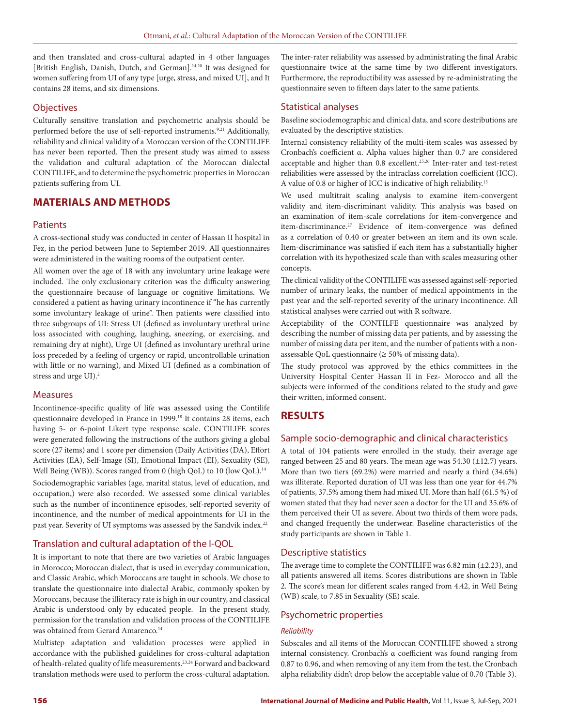and then translated and cross-cultural adapted in 4 other languages [British English, Danish, Dutch, and German].<sup>14,20</sup> It was designed for women suffering from UI of any type [urge, stress, and mixed UI], and It contains 28 items, and six dimensions.

# **Objectives**

Culturally sensitive translation and psychometric analysis should be performed before the use of self-reported instruments.<sup>9,21</sup> Additionally, reliability and clinical validity of a Moroccan version of the CONTILIFE has never been reported. Then the present study was aimed to assess the validation and cultural adaptation of the Moroccan dialectal CONTILIFE, and to determine the psychometric properties in Moroccan patients suffering from UI.

# **MATERIALS AND METHODS**

### **Patients**

A cross-sectional study was conducted in center of Hassan II hospital in Fez, in the period between June to September 2019. All questionnaires were administered in the waiting rooms of the outpatient center.

All women over the age of 18 with any involuntary urine leakage were included. The only exclusionary criterion was the difficulty answering the questionnaire because of language or cognitive limitations. We considered a patient as having urinary incontinence if "he has currently some involuntary leakage of urine". Then patients were classified into three subgroups of UI: Stress UI (defined as involuntary urethral urine loss associated with coughing, laughing, sneezing, or exercising, and remaining dry at night), Urge UI (defined as involuntary urethral urine loss preceded by a feeling of urgency or rapid, uncontrollable urination with little or no warning), and Mixed UI (defined as a combination of stress and urge UI).2

### Measures

Incontinence-specific quality of life was assessed using the Contilife questionnaire developed in France in 1999.<sup>18</sup> It contains 28 items, each having 5- or 6-point Likert type response scale. CONTILIFE scores were generated following the instructions of the authors giving a global score (27 items) and 1 score per dimension (Daily Activities (DA), Effort Activities (EA), Self-Image (SI), Emotional Impact (EI), Sexuality (SE), Well Being (WB)). Scores ranged from 0 (high QoL) to 10 (low QoL).<sup>14</sup> Sociodemographic variables (age, marital status, level of education, and occupation,) were also recorded. We assessed some clinical variables such as the number of incontinence episodes, self-reported severity of incontinence, and the number of medical appointments for UI in the past year. Severity of UI symptoms was assessed by the Sandvik index.<sup>22</sup>

# Translation and cultural adaptation of the I-QOL

It is important to note that there are two varieties of Arabic languages in Morocco; Moroccan dialect, that is used in everyday communication, and Classic Arabic, which Moroccans are taught in schools. We chose to translate the questionnaire into dialectal Arabic, commonly spoken by Moroccans, because the illiteracy rate is high in our country, and classical Arabic is understood only by educated people. In the present study, permission for the translation and validation process of the CONTILIFE was obtained from Gerard Amarenco.<sup>14</sup>

Multistep adaptation and validation processes were applied in accordance with the published guidelines for cross-cultural adaptation of health-related quality of life measurements.23,24 Forward and backward translation methods were used to perform the cross-cultural adaptation. The inter-rater reliability was assessed by administrating the final Arabic questionnaire twice at the same time by two different investigators. Furthermore, the reproductibility was assessed by re-administrating the questionnaire seven to fifteen days later to the same patients.

# Statistical analyses

Baseline sociodemographic and clinical data, and score destributions are evaluated by the descriptive statistics.

Internal consistency reliability of the multi-item scales was assessed by Cronbach's coefficient α. Alpha values higher than 0.7 are considered acceptable and higher than 0.8 excellent.25,26 Inter-rater and test-retest reliabilities were assessed by the intraclass correlation coefficient (ICC). A value of 0.8 or higher of ICC is indicative of high reliability.15

We used multitrait scaling analysis to examine item-convergent validity and item-discriminant validity. This analysis was based on an examination of item-scale correlations for item-convergence and item-discriminance.<sup>27</sup> Evidence of item-convergence was defined as a correlation of 0.40 or greater between an item and its own scale. Item-discriminance was satisfied if each item has a substantially higher correlation with its hypothesized scale than with scales measuring other concepts.

The clinical validity of the CONTILIFE was assessed against self-reported number of urinary leaks, the number of medical appointments in the past year and the self-reported severity of the urinary incontinence. All statistical analyses were carried out with R software.

Acceptability of the CONTILFE questionnaire was analyzed by describing the number of missing data per patients, and by assessing the number of missing data per item, and the number of patients with a nonassessable QoL questionnaire ( $\geq 50\%$  of missing data).

The study protocol was approved by the ethics committees in the University Hospital Center Hassan II in Fez- Morocco and all the subjects were informed of the conditions related to the study and gave their written, informed consent.

# **RESULTS**

# Sample socio-demographic and clinical characteristics

A total of 104 patients were enrolled in the study, their average age ranged between 25 and 80 years. The mean age was  $54.30$  ( $\pm$ 12.7) years. More than two tiers (69.2%) were married and nearly a third (34.6%) was illiterate. Reported duration of UI was less than one year for 44.7% of patients, 37.5% among them had mixed UI. More than half (61.5 %) of women stated that they had never seen a doctor for the UI and 35.6% of them perceived their UI as severe. About two thirds of them wore pads, and changed frequently the underwear. Baseline characteristics of the study participants are shown in Table 1.

# Descriptive statistics

The average time to complete the CONTILIFE was 6.82 min (±2.23), and all patients answered all items. Scores distributions are shown in Table 2. The score's mean for different scales ranged from 4.42, in Well Being (WB) scale, to 7.85 in Sexuality (SE) scale.

# Psychometric properties

### *Reliability*

Subscales and all items of the Moroccan CONTILIFE showed a strong internal consistency. Cronbach's α coefficient was found ranging from 0.87 to 0.96, and when removing of any item from the test, the Cronbach alpha reliability didn't drop below the acceptable value of 0.70 (Table 3).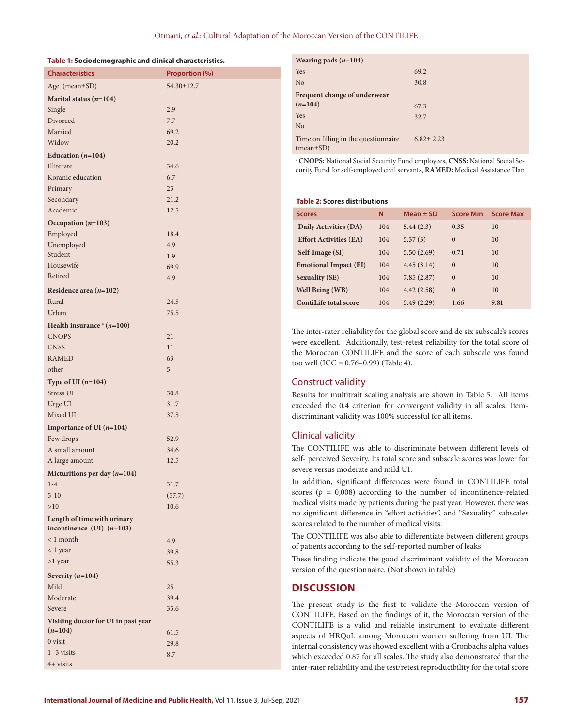#### **Table 1: Sociodemographic and clinical characteristics.**

| <b>Characteristics</b>                                     | Proportion (%) |
|------------------------------------------------------------|----------------|
| Age (mean±SD)                                              | 54.30±12.7     |
| Marital status $(n=104)$                                   |                |
| Single                                                     | 2.9            |
| Divorced                                                   | 7.7            |
| Married                                                    | 69.2           |
| Widow                                                      | 20.2           |
| Education $(n=104)$                                        |                |
| <b>Illiterate</b>                                          | 34.6           |
| Koranic education                                          | 6.7            |
| Primary                                                    | 25             |
| Secondary                                                  | 21.2           |
| Academic                                                   | 12.5           |
| Occupation $(n=103)$                                       |                |
| Employed                                                   | 18.4           |
| Unemployed                                                 | 4.9            |
| Student                                                    | 1.9            |
| Housewife                                                  | 69.9           |
| Retired                                                    | 4.9            |
| Residence area $(n=102)$                                   |                |
| Rural                                                      | 24.5           |
| Urban                                                      | 75.5           |
| Health insurance $a(n=100)$                                |                |
| <b>CNOPS</b>                                               | 21             |
| <b>CNSS</b>                                                | 11             |
| <b>RAMED</b>                                               | 63             |
| other                                                      | 5              |
|                                                            |                |
| Type of UI $(n=104)$                                       |                |
| Stress UI                                                  | 30.8           |
| Urge UI<br>Mixed UI                                        | 31.7<br>37.5   |
|                                                            |                |
| Importance of UI $(n=104)$                                 |                |
| Few drops                                                  | 52.9           |
| A small amount                                             | 34.6           |
| A large amount                                             | 12.5           |
| Micturitions per day $(n=104)$                             |                |
| $1-4$                                                      | 31.7           |
| $5 - 10$                                                   | (57.7)         |
| >10                                                        | 10.6           |
| Length of time with urinary<br>incontinence (UI) $(n=103)$ |                |
| $< 1$ month                                                |                |
| < 1 year                                                   | 4.9<br>39.8    |
| $>1$ year                                                  | 55.3           |
|                                                            |                |
| Severity $(n=104)$                                         |                |
| Mild                                                       | 25             |
| Moderate                                                   | 39.4           |
| Severe                                                     | 35.6           |
| Visiting doctor for UI in past year                        |                |
| $(n=104)$<br>0 visit                                       | 61.5           |
| $1 - 3$ visits                                             | 29.8           |
| 4+ visits                                                  | 8.7            |
|                                                            |                |

| Wearing pads $(n=104)$                            |               |
|---------------------------------------------------|---------------|
| Yes                                               | 69.2          |
| N <sub>o</sub>                                    | 30.8          |
| Frequent change of underwear                      |               |
| $(n=104)$                                         | 67.3          |
| Yes                                               | 32.7          |
| N <sub>o</sub>                                    |               |
| Time on filling in the questionnaire<br>(mean±SD) | $6.82 + 2.23$ |

a  **CNOPS:** National Social Security Fund employees, **CNSS:** National Social Security Fund for self-employed civil servants, **RAMED:** Medical Assistance Plan

#### **Table 2: Scores distributions**

| <b>Scores</b>                 | N   | Mean $\pm$ SD | <b>Score Min</b> | <b>Score Max</b> |
|-------------------------------|-----|---------------|------------------|------------------|
| Daily Activities (DA)         | 104 | 5.44(2.3)     | 0.35             | 10               |
| <b>Effort Activities (EA)</b> | 104 | 5.37(3)       | $\Omega$         | 10               |
| Self-Image (SI)               | 104 | 5.50(2.69)    | 0.71             | 10               |
| <b>Emotional Impact (EI)</b>  | 104 | 4.45(3.14)    | $\Omega$         | 10               |
| <b>Sexuality (SE)</b>         | 104 | 7.85(2.87)    | $\Omega$         | 10               |
| Well Being (WB)               | 104 | 4.42(2.58)    | $\Omega$         | 10               |
| ContiLife total score         | 104 | 5.49(2.29)    | 1.66             | 9.81             |

The inter-rater reliability for the global score and de six subscale's scores were excellent. Additionally, test-retest reliability for the total score of the Moroccan CONTILIFE and the score of each subscale was found too well (ICC =  $0.76 - 0.99$ ) (Table 4).

# Construct validity

Results for multitrait scaling analysis are shown in Table 5. All items exceeded the 0.4 criterion for convergent validity in all scales. Itemdiscriminant validity was 100% successful for all items.

### Clinical validity

The CONTILIFE was able to discriminate between different levels of self- perceived Severity. Its total score and subscale scores was lower for severe versus moderate and mild UI.

In addition, significant differences were found in CONTILIFE total scores ( $p = 0,008$ ) according to the number of incontinence-related medical visits made by patients during the past year. However, there was no significant difference in "effort activities", and "Sexuality" subscales scores related to the number of medical visits.

The CONTILIFE was also able to differentiate between different groups of patients according to the self-reported number of leaks

These finding indicate the good discriminant validity of the Moroccan version of the questionnaire. (Not shown in table)

### **DISCUSSION**

The present study is the first to validate the Moroccan version of CONTILIFE. Based on the findings of it, the Moroccan version of the CONTILIFE is a valid and reliable instrument to evaluate different aspects of HRQoL among Moroccan women suffering from UI. The internal consistency was showed excellent with a Cronbach's alpha values which exceeded 0.87 for all scales. The study also demonstrated that the inter-rater reliability and the test/retest reproducibility for the total score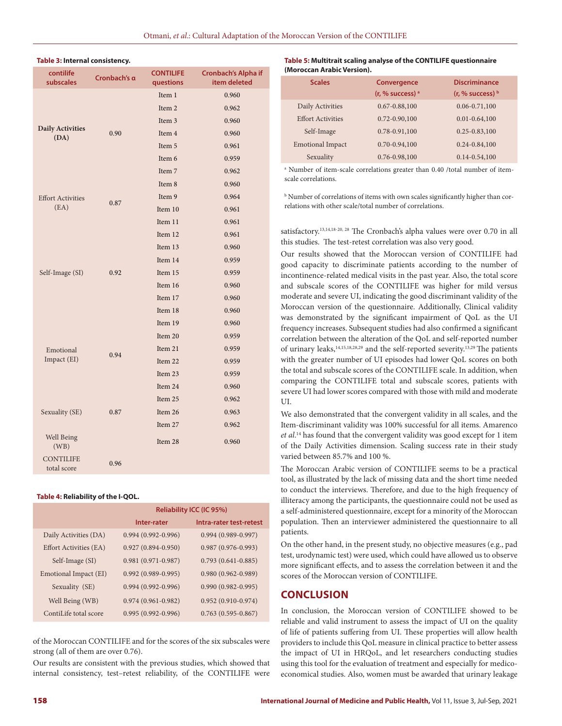#### **Table 3: Internal consistency.**

| contilife<br>subscales          | Cronbach's a | <b>CONTILIFE</b><br>questions | Cronbach's Alpha if<br>item deleted |
|---------------------------------|--------------|-------------------------------|-------------------------------------|
|                                 |              | Item 1                        | 0.960                               |
|                                 |              | Item 2                        | 0.962                               |
|                                 |              | Item 3                        | 0.960                               |
| <b>Daily Activities</b><br>(DA) | 0.90         | Item 4                        | 0.960                               |
|                                 |              | Item 5                        | 0.961                               |
|                                 |              | Item 6                        | 0.959                               |
|                                 |              | Item 7                        | 0.962                               |
|                                 |              | Item 8                        | 0.960                               |
| <b>Effort Activities</b>        |              | Item 9                        | 0.964                               |
| (EA)                            | 0.87         | Item 10                       | 0.961                               |
|                                 |              | Item 11                       | 0.961                               |
|                                 |              | Item 12                       | 0.961                               |
|                                 |              | Item 13                       | 0.960                               |
| Self-Image (SI)                 | 0.92         | Item 14                       | 0.959                               |
|                                 |              | Item 15                       | 0.959                               |
|                                 |              | Item 16                       | 0.960                               |
|                                 |              | Item 17                       | 0.960                               |
|                                 |              | Item 18                       | 0.960                               |
|                                 |              | Item 19                       | 0.960                               |
|                                 |              | Item 20                       | 0.959                               |
| Emotional                       | 0.94         | Item 21                       | 0.959                               |
| Impact (EI)                     |              | Item 22                       | 0.959                               |
|                                 |              | Item 23                       | 0.959                               |
|                                 |              | Item 24                       | 0.960                               |
|                                 |              | Item 25                       | 0.962                               |
| Sexuality (SE)                  | 0.87         | Item 26                       | 0.963                               |
|                                 |              | Item 27                       | 0.962                               |
| Well Being<br>(WB)              |              | Item 28                       | 0.960                               |
| <b>CONTILIFE</b><br>total score | 0.96         |                               |                                     |

#### **Table 4: Reliability of the I-QOL.**

|                        | Reliability ICC (IC 95%) |                         |  |
|------------------------|--------------------------|-------------------------|--|
|                        | Inter-rater              | Intra-rater test-retest |  |
| Daily Activities (DA)  | $0.994(0.992 - 0.996)$   | $0.994(0.989 - 0.997)$  |  |
| Effort Activities (EA) | $0.927(0.894 - 0.950)$   | $0.987(0.976-0.993)$    |  |
| Self-Image (SI)        | $0.981(0.971-0.987)$     | $0.793(0.641 - 0.885)$  |  |
| Emotional Impact (EI)  | $0.992(0.989 - 0.995)$   | $0.980(0.962 - 0.989)$  |  |
| Sexuality (SE)         | $0.994(0.992 - 0.996)$   | $0.990(0.982 - 0.995)$  |  |
| Well Being (WB)        | $0.974(0.961 - 0.982)$   | $0.952(0.910-0.974)$    |  |
| ContiLife total score  | $0.995(0.992 - 0.996)$   | $0.763(0.595 - 0.867)$  |  |

of the Moroccan CONTILIFE and for the scores of the six subscales were strong (all of them are over 0.76).

Our results are consistent with the previous studies, which showed that internal consistency, test–retest reliability, of the CONTILIFE were

#### **Table 5: Multitrait scaling analyse of the CONTILIFE questionnaire (Moroccan Arabic Version).**

| <b>Scales</b>            | Convergence<br>(r, % success) <sup>a</sup> | <b>Discriminance</b><br>$(r, %$ success) $b$ |
|--------------------------|--------------------------------------------|----------------------------------------------|
| Daily Activities         | $0.67 - 0.88,100$                          | $0.06 - 0.71,100$                            |
| <b>Effort Activities</b> | $0.72 - 0.90, 100$                         | $0.01 - 0.64, 100$                           |
| Self-Image               | 0.78-0.91,100                              | $0.25 - 0.83, 100$                           |
| <b>Emotional Impact</b>  | $0.70 - 0.94, 100$                         | $0.24 - 0.84, 100$                           |
| Sexuality                | 0.76-0.98,100                              | $0.14 - 0.54, 100$                           |

a Number of item-scale correlations greater than 0.40 /total number of itemscale correlations.

b Number of correlations of items with own scales significantly higher than correlations with other scale/total number of correlations.

satisfactory.<sup>13,14,18-20, 28</sup> The Cronbach's alpha values were over 0.70 in all this studies. The test-retest correlation was also very good.

Our results showed that the Moroccan version of CONTILIFE had good capacity to discriminate patients according to the number of incontinence-related medical visits in the past year. Also, the total score and subscale scores of the CONTILIFE was higher for mild versus moderate and severe UI, indicating the good discriminant validity of the Moroccan version of the questionnaire. Additionally, Clinical validity was demonstrated by the significant impairment of QoL as the UI frequency increases. Subsequent studies had also confirmed a significant correlation between the alteration of the QoL and self-reported number of urinary leaks,<sup>14,15,18,28,29</sup> and the self-reported severity.<sup>13,29</sup> The patients with the greater number of UI episodes had lower QoL scores on both the total and subscale scores of the CONTILIFE scale. In addition, when comparing the CONTILIFE total and subscale scores, patients with severe UI had lower scores compared with those with mild and moderate UI.

We also demonstrated that the convergent validity in all scales, and the Item-discriminant validity was 100% successful for all items. Amarenco *et al*. 14 has found that the convergent validity was good except for 1 item of the Daily Activities dimension. Scaling success rate in their study varied between 85.7% and 100 %.

The Moroccan Arabic version of CONTILIFE seems to be a practical tool, as illustrated by the lack of missing data and the short time needed to conduct the interviews. Therefore, and due to the high frequency of illiteracy among the participants, the questionnaire could not be used as a self-administered questionnaire, except for a minority of the Moroccan population. Then an interviewer administered the questionnaire to all patients.

On the other hand, in the present study, no objective measures (e.g., pad test, urodynamic test) were used, which could have allowed us to observe more significant effects, and to assess the correlation between it and the scores of the Moroccan version of CONTILIFE.

# **CONCLUSION**

In conclusion, the Moroccan version of CONTILIFE showed to be reliable and valid instrument to assess the impact of UI on the quality of life of patients suffering from UI. These properties will allow health providers to include this QoL measure in clinical practice to better assess the impact of UI in HRQoL, and let researchers conducting studies using this tool for the evaluation of treatment and especially for medicoeconomical studies. Also, women must be awarded that urinary leakage